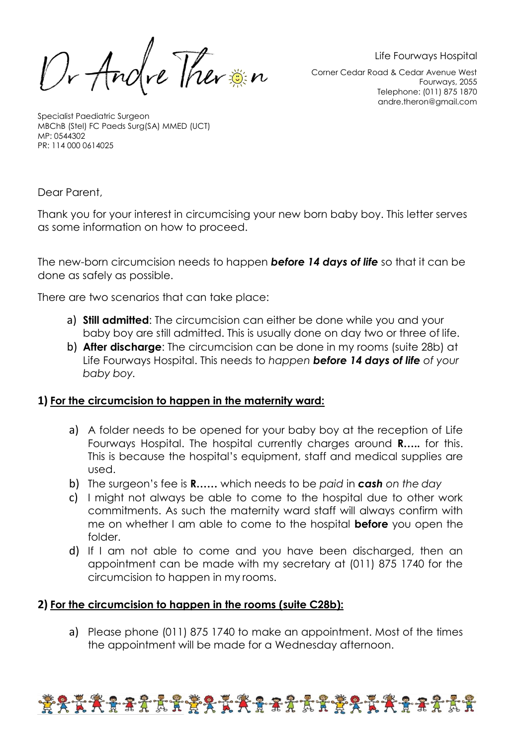Or Andre Ther in

Life Fourways Hospital

Corner Cedar Road & Cedar Avenue West Fourways, 2055 Telephone: (011) 875 1870 andre.theron@gmail.com

Specialist Paediatric Surgeon MBChB (Stel) FC Paeds Surg(SA) MMED (UCT) MP: 0544302 PR: 114 000 0614025

Dear Parent,

Thank you for your interest in circumcising your new born baby boy. This letter serves as some information on how to proceed.

The new-born circumcision needs to happen *before 14 days of life* so that it can be done as safely as possible.

There are two scenarios that can take place:

- a) **Still admitted**: The circumcision can either be done while you and your baby boy are still admitted. This is usually done on day two or three of life.
- b) **After discharge**: The circumcision can be done in my rooms (suite 28b) at Life Fourways Hospital. This needs to *happen before 14 days of life of your baby boy.*

## **1) For the circumcision to happen in the maternity ward:**

- a) A folder needs to be opened for your baby boy at the reception of Life Fourways Hospital. The hospital currently charges around **R…..** for this. This is because the hospital's equipment, staff and medical supplies are used.
- b) The surgeon's fee is **R……** which needs to be *paid* in *cash on the day*
- c) I might not always be able to come to the hospital due to other work commitments. As such the maternity ward staff will always confirm with me on whether I am able to come to the hospital **before** you open the folder.
- d) If I am not able to come and you have been discharged, then an appointment can be made with my secretary at (011) 875 1740 for the circumcision to happen in my rooms.

## **2) For the circumcision to happen in the rooms (suite C28b):**

a) Please phone (011) 875 1740 to make an appointment. Most of the times the appointment will be made for a Wednesday afternoon.